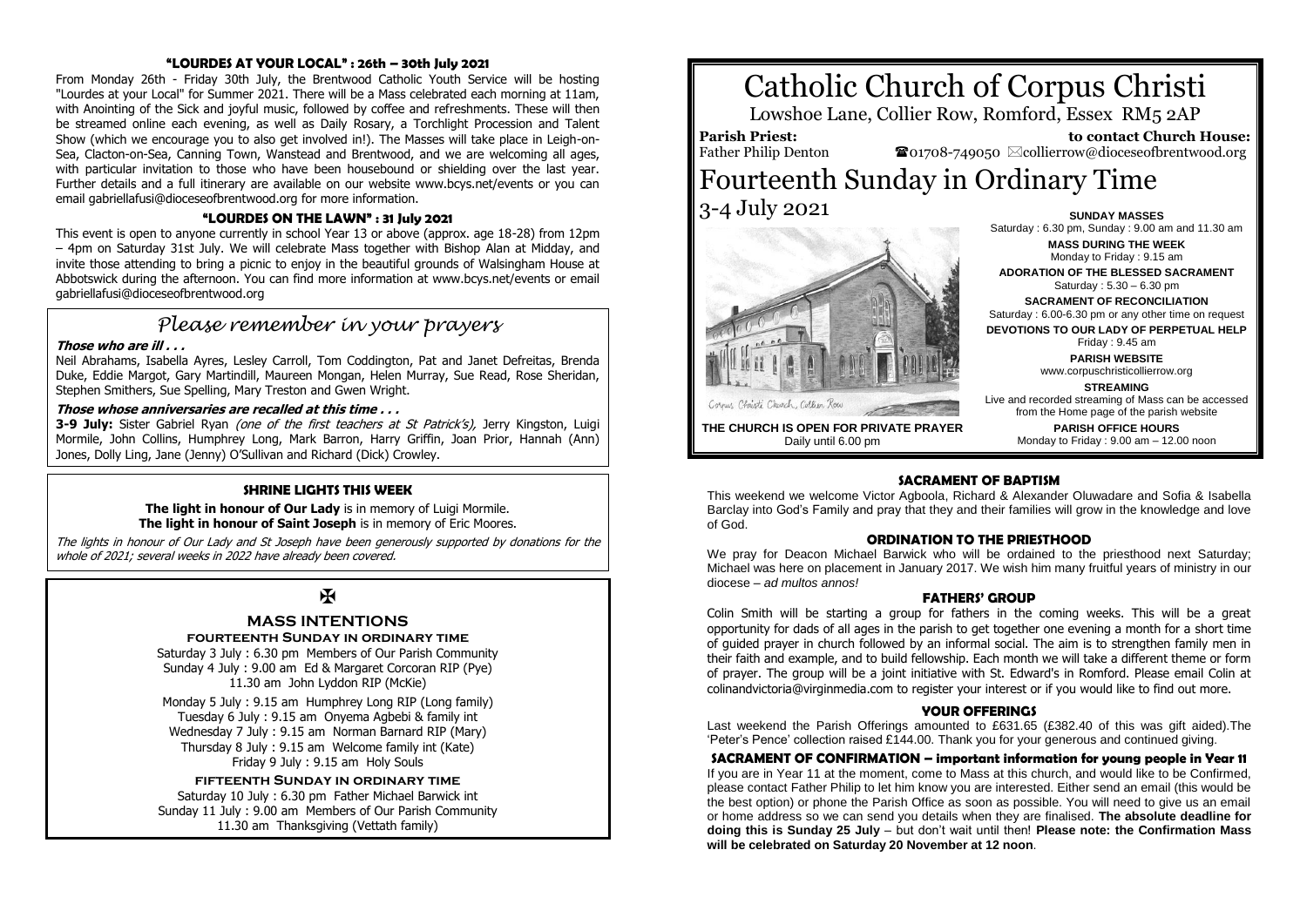# **"LOURDES AT YOUR LOCAL" : 26th – 30th July 2021**

From Monday 26th - Friday 30th July, the Brentwood Catholic Youth Service will be hosting "Lourdes at your Local" for Summer 2021. There will be a Mass celebrated each morning at 11am, with Anointing of the Sick and joyful music, followed by coffee and refreshments. These will then be streamed online each evening, as well as Daily Rosary, a Torchlight Procession and Talent Show (which we encourage you to also get involved in!). The Masses will take place in Leigh-on-Sea, Clacton-on-Sea, Canning Town, Wanstead and Brentwood, and we are welcoming all ages, with particular invitation to those who have been housebound or shielding over the last year. Further details and a full itinerary are available on our website www.bcys.net/events or you can email gabriellafusi@dioceseofbrentwood.org for more information.

# **"LOURDES ON THE LAWN" : 31 July 2021**

This event is open to anyone currently in school Year 13 or above (approx. age 18-28) from 12pm – 4pm on Saturday 31st July. We will celebrate Mass together with Bishop Alan at Midday, and invite those attending to bring a picnic to enjoy in the beautiful grounds of Walsingham House at Abbotswick during the afternoon. You can find more information at www.bcys.net/events or email gabriellafusi@dioceseofbrentwood.org

# *Please remember in your prayers*

## **Those who are ill . . .**

Neil Abrahams, Isabella Ayres, Lesley Carroll, Tom Coddington, Pat and Janet Defreitas, Brenda Duke, Eddie Margot, Gary Martindill, Maureen Mongan, Helen Murray, Sue Read, Rose Sheridan, Stephen Smithers, Sue Spelling, Mary Treston and Gwen Wright.

#### **Those whose anniversaries are recalled at this time . . .**

**3-9 July:** Sister Gabriel Ryan *(one of the first teachers at St Patrick's)*, Jerry Kingston, Luigi Mormile, John Collins, Humphrey Long, Mark Barron, Harry Griffin, Joan Prior, Hannah (Ann) Jones, Dolly Ling, Jane (Jenny) O'Sullivan and Richard (Dick) Crowley.

# **SHRINE LIGHTS THIS WEEK**

**The light in honour of Our Lady** is in memory of Luigi Mormile. **The light in honour of Saint Joseph** is in memory of Eric Moores.

The lights in honour of Our Lady and St Joseph have been generously supported by donations for the whole of 2021; several weeks in 2022 have already been covered.

# $\mathbf F$

# **MASS INTENTIONS**

**fourteenth Sunday in ordinary time** Saturday 3 July : 6.30 pm Members of Our Parish Community

Sunday 4 July : 9.00 am Ed & Margaret Corcoran RIP (Pye) 11.30 am John Lyddon RIP (McKie)

Monday 5 July : 9.15 am Humphrey Long RIP (Long family) Tuesday 6 July : 9.15 am Onyema Agbebi & family int Wednesday 7 July : 9.15 am Norman Barnard RIP (Mary) Thursday 8 July : 9.15 am Welcome family int (Kate) Friday 9 July : 9.15 am Holy Souls

**fifteenth Sunday in ordinary time**

Saturday 10 July : 6.30 pm Father Michael Barwick int Sunday 11 July : 9.00 am Members of Our Parish Community 11.30 am Thanksgiving (Vettath family)

# Catholic Church of Corpus Christi

Lowshoe Lane, Collier Row, Romford, Essex RM5 2AP

**Parish Priest:** Father Philip Denton

 **to contact Church House:**  $\bullet$ 01708-749050  $\boxtimes$ collierrow@dioceseofbrentwood.org

# Fourteenth Sunday in Ordinary Time 3-4 July 2021 **SUNDAY MASSES**



Saturday : 6.30 pm, Sunday : 9.00 am and 11.30 am **MASS DURING THE WEEK** Monday to Friday : 9.15 am **ADORATION OF THE BLESSED SACRAMENT** Saturday : 5.30 – 6.30 pm **SACRAMENT OF RECONCILIATION** Saturday : 6.00-6.30 pm or any other time on request **DEVOTIONS TO OUR LADY OF PERPETUAL HELP** Friday : 9.45 am **PARISH WEBSITE** www.corpuschristicollierrow.org **STREAMING** Live and recorded streaming of Mass can be accessed

**THE CHURCH IS OPEN FOR PRIVATE PRAYER** Daily until 6.00 pm

from the Home page of the parish website **PARISH OFFICE HOURS** Monday to Friday : 9.00 am – 12.00 noon

# **SACRAMENT OF BAPTISM**

This weekend we welcome Victor Agboola, Richard & Alexander Oluwadare and Sofia & Isabella Barclay into God's Family and pray that they and their families will grow in the knowledge and love of God.

#### **ORDINATION TO THE PRIESTHOOD**

We pray for Deacon Michael Barwick who will be ordained to the priesthood next Saturday; Michael was here on placement in January 2017. We wish him many fruitful years of ministry in our diocese – *ad multos annos!*

## **FATHERS' GROUP**

Colin Smith will be starting a group for fathers in the coming weeks. This will be a great opportunity for dads of all ages in the parish to get together one evening a month for a short time of guided prayer in church followed by an informal social. The aim is to strengthen family men in their faith and example, and to build fellowship. Each month we will take a different theme or form of prayer. The group will be a joint initiative with St. Edward's in Romford. Please email Colin at colinandvictoria@virginmedia.com to register your interest or if you would like to find out more.

## **YOUR OFFERINGS**

Last weekend the Parish Offerings amounted to £631.65 (£382.40 of this was gift aided).The 'Peter's Pence' collection raised £144.00. Thank you for your generous and continued giving.

#### **SACRAMENT OF CONFIRMATION – important information for young people in Year 11**

If you are in Year 11 at the moment, come to Mass at this church, and would like to be Confirmed, please contact Father Philip to let him know you are interested. Either send an email (this would be the best option) or phone the Parish Office as soon as possible. You will need to give us an email or home address so we can send you details when they are finalised. **The absolute deadline for doing this is Sunday 25 July** – but don't wait until then! **Please note: the Confirmation Mass will be celebrated on Saturday 20 November at 12 noon**.